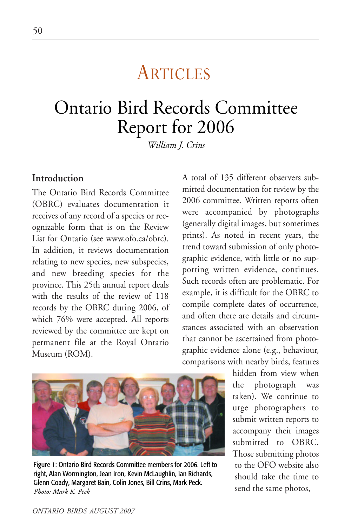# **ARTICLES**

# Ontario Bird Records Committee Report for 2006

*William J. Crins*

### **Introduction**

The Ontario Bird Records Committee (OBRC) evaluates documentation it receives of any record of a species or recognizable form that is on the Review List for Ontario (see www.ofo.ca/obrc). In addition, it reviews documentation relating to new species, new subspecies, and new breeding species for the province. This 25th annual report deals with the results of the review of 118 records by the OBRC during 2006, of which 76% were accepted. All reports reviewed by the committee are kept on permanent file at the Royal Ontario Museum (ROM).

A total of 135 different observers submitted documentation for review by the 2006 committee. Written reports often were accompanied by photographs (generally digital images, but sometimes prints). As noted in recent years, the trend toward submission of only photographic evidence, with little or no supporting written evidence, continues. Such records often are problematic. For example, it is difficult for the OBRC to compile complete dates of occurrence, and often there are details and circumstances associated with an observation that cannot be ascertained from photographic evidence alone (e.g., behaviour, comparisons with nearby birds, features



Figure 1: Ontario Bird Records Committee members for 2006. Left to right, Alan Wormington, Jean Iron, Kevin McLaughlin, Ian Richards, Glenn Coady, Margaret Bain, Colin Jones, Bill Crins, Mark Peck. *Photo: Mark K. Peck*

hidden from view when the photograph was taken). We continue to urge photographers to submit written reports to accompany their images submitted to OBRC. Those submitting photos to the OFO website also should take the time to send the same photos,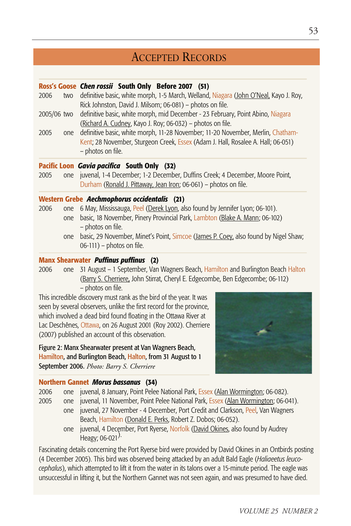# ACCEPTED RECORDS

#### **Ross's Goose** *Chen rossii* **South Only Before 2007 (51)**

- 2006 two definitive basic, white morph, 1-5 March, Welland, Niagara (John O'Neal, Kayo J. Roy, Rick Johnston, David J. Milsom; 06-081) – photos on file.
- 2005/06 two definitive basic, white morph, mid December 23 February, Point Abino, Niagara (Richard A. Cudney, Kayo J. Roy; 06-032) – photos on file.
- 2005 one definitive basic, white morph, 11-28 November; 11-20 November, Merlin, Chatham-Kent; 28 November, Sturgeon Creek, Essex (Adam J. Hall, Rosalee A. Hall; 06-051) – photos on file.

#### **Pacific Loon** *Gavia pacifica* **South Only (32)**

2005 one juvenal, 1-4 December; 1-2 December, Duffins Creek; 4 December, Moore Point, Durham (Ronald J. Pittaway, Jean Iron; 06-061) – photos on file.

#### **Western Grebe** *Aechmophorus occidentalis* **(21)**

- 2006 one 6 May, Mississauga, Peel (Derek Lyon, also found by Jennifer Lyon; 06-101). one basic, 18 November, Pinery Provincial Park, Lambton (Blake A. Mann; 06-102) – photos on file.
	- one basic, 29 November, Minet's Point, Simcoe (James P. Coey, also found by Nigel Shaw; 06-111) – photos on file.

#### **Manx Shearwater** *Puffinus puffinus* **(2)**

2006 one 31 August – 1 September, Van Wagners Beach, Hamilton and Burlington Beach Halton (Barry S. Cherriere, John Stirrat, Cheryl E. Edgecombe, Ben Edgecombe; 06-112) – photos on file.

This incredible discovery must rank as the bird of the year. It was seen by several observers, unlike the first record for the province, which involved a dead bird found floating in the Ottawa River at Lac Deschênes, Ottawa, on 26 August 2001 (Roy 2002). Cherriere (2007) published an account of this observation.

Figure 2: Manx Shearwater present at Van Wagners Beach, Hamilton, and Burlington Beach, Halton, from 31 August to 1 September 2006. *Photo: Barry S. Cherriere*



#### **Northern Gannet** *Morus bassanus* **(34)**

2006 one juvenal, 8 January, Point Pelee National Park, Essex (Alan Wormington; 06-082).

- 2005 one juvenal, 11 November, Point Pelee National Park, Essex (Alan Wormington; 06-041).
	- one juvenal, 27 November 4 December, Port Credit and Clarkson, Peel, Van Wagners Beach, Hamilton (Donald E. Perks, Robert Z. Dobos; 06-052).
		- one juvenal, 4 December, Port Ryerse, Norfolk (David Okines, also found by Audrey Heagy;  $06-021$ <sup>).</sup>

Fascinating details concerning the Port Ryerse bird were provided by David Okines in an Ontbirds posting (4 December 2005). This bird was observed being attacked by an adult Bald Eagle (*Haliaeetus leucocephalus*), which attempted to lift it from the water in its talons over a 15-minute period. The eagle was unsuccessful in lifting it, but the Northern Gannet was not seen again, and was presumed to have died.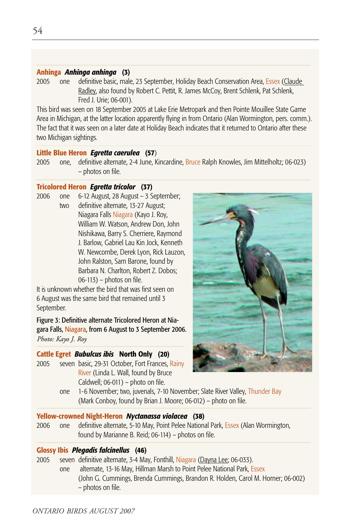#### **Anhinga** *Anhinga anhinga* **(3)**

2005 one definitive basic, male, 23 September, Holiday Beach Conservation Area, Essex (Claude Radley, also found by Robert C. Pettit, R. James McCoy, Brent Schlenk, Pat Schlenk, Fred J. Urie; 06-001).

This bird was seen on 18 September 2005 at Lake Erie Metropark and then Pointe Mouillee State Game Area in Michigan, at the latter location apparently flying in from Ontario (Alan Wormington, pers. comm.). The fact that it was seen on a later date at Holiday Beach indicates that it returned to Ontario after these two Michigan sightings.

#### **Little Blue Heron** *Egretta caerulea* **(57**)

2005 one, definitive alternate, 2-4 June, Kincardine, Bruce Ralph Knowles, Jim Mittelholtz; 06-023) – photos on file.

#### **Tricolored Heron** *Egretta tricolor* **(37)**

2006 one 6-12 August, 28 August – 3 September; two definitive alternate, 13-27 August; Niagara Falls Niagara (Kayo J. Roy, William W. Watson, Andrew Don, John Nishikawa, Barry S. Cherriere, Raymond J. Barlow, Gabriel Lau Kin Jock, Kenneth W. Newcombe, Derek Lyon, Rick Lauzon, John Ralston, Sam Barone, found by Barbara N. Charlton, Robert Z. Dobos; 06-113) – photos on file.

It is unknown whether the bird that was first seen on 6 August was the same bird that remained until 3 September.

Figure 3: Definitive alternate Tricolored Heron at Niagara Falls, Niagara, from 6 August to 3 September 2006. *Photo: Kayo J. Roy*

#### **Cattle Egret** *Bubulcus ibis* **North Only (20)**

2005 seven basic, 29-31 October, Fort Frances, Rainy River (Linda L. Wall, found by Bruce Caldwell; 06-011) – photo on file.



one 1-6 November; two, juvenals, 7-10 November; Slate River Valley, Thunder Bay (Mark Conboy, found by Brian J. Moore; 06-012) – photo on file.

#### **Yellow-crowned Night-Heron** *Nyctanassa violacea* **(38)**

2006 one definitive alternate, 5-10 May, Point Pelee National Park, Essex (Alan Wormington, found by Marianne B. Reid; 06-114) – photos on file.

#### **Glossy Ibis** *Plegadis falcinellus* **(46)**

2005 seven definitive alternate, 3-4 May, Fonthill, Niagara (Dayna Lee; 06-033). one alternate, 13-16 May, Hillman Marsh to Point Pelee National Park, Essex (John G. Cummings, Brenda Cummings, Brandon R. Holden, Carol M. Horner; 06-002) – photos on file.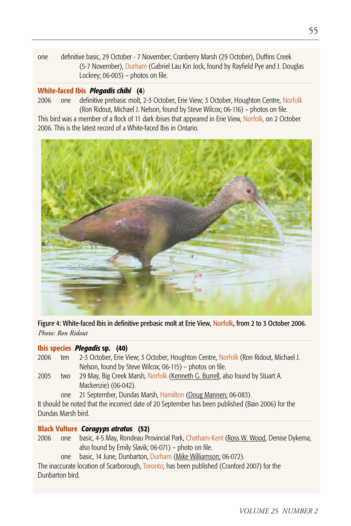one definitive basic, 29 October - 7 November; Cranberry Marsh (29 October), Duffins Creek (5-7 November), Durham (Gabriel Lau Kin Jock, found by Rayfield Pye and J. Douglas Lockrey; 06-003) – photos on file.

#### **White-faced Ibis** *Plegadis chihi* **(4**)

2006 one definitive prebasic molt, 2-3 October, Erie View; 3 October, Houghton Centre, Norfolk (Ron Ridout, Michael J. Nelson, found by Steve Wilcox; 06-116) – photos on file.

This bird was a member of a flock of 11 dark ibises that appeared in Erie View, Norfolk, on 2 October 2006. This is the latest record of a White-faced Ibis in Ontario.



Figure 4: White-faced Ibis in definitive prebasic molt at Erie View, Norfolk, from 2 to 3 October 2006. *Photo: Ron Ridout*

#### **Ibis species** *Plegadis* **sp. (40)**

| 2006 | ten                    | 2-3 October, Erie View; 3 October, Houghton Centre, Norfolk (Ron Ridout, Michael J. |
|------|------------------------|-------------------------------------------------------------------------------------|
|      |                        | Nelson, found by Steve Wilcox; 06-115) – photos on file.                            |
| 2005 | <b>h</b> <sub>10</sub> | 29 May Rig Creek Marsh Norfolk (Kenneth C. Burrell, also found by Stuart A          |

29 May, Big Creek Marsh, <mark>Norfolk (<u>Kenneth G. Burrell</u>,</mark> also found by Mackenzie) (06-042).

one 21 September, Dundas Marsh, Hamilton (Doug Mannen; 06-083).

It should be noted that the incorrect date of 20 September has been published (Bain 2006) for the Dundas Marsh bird.

#### **Black Vulture** *Coragyps atratus* **(52)**

- 2006 one basic, 4-5 May, Rondeau Provincial Park, Chatham-Kent (Ross W. Wood, Denise Dykema, also found by Emily Slavik; 06-071) – photo on file.
	- one basic, 14 June, Dunbarton, Durham (Mike Williamson; 06-072).

The inaccurate location of Scarborough, Toronto, has been published (Cranford 2007) for the Dunbarton bird.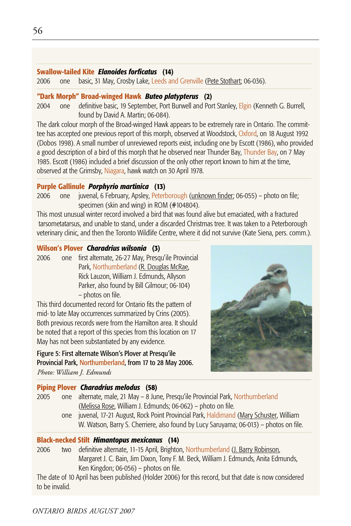#### **Swallow-tailed Kite** *Elanoides forficatus* **(14)**

2006 one basic, 31 May, Crosby Lake, Leeds and Grenville (Pete Stothart; 06-036).

#### **"Dark Morph" Broad-winged Hawk** *Buteo platypterus* **(2)**

2004 one definitive basic, 19 September, Port Burwell and Port Stanley, Elgin (Kenneth G. Burrell, found by David A. Martin; 06-084).

The dark colour morph of the Broad-winged Hawk appears to be extremely rare in Ontario. The committee has accepted one previous report of this morph, observed at Woodstock, Oxford, on 18 August 1992 (Dobos 1998). A small number of unreviewed reports exist, including one by Escott (1986), who provided a good description of a bird of this morph that he observed near Thunder Bay, Thunder Bay, on 7 May 1985. Escott (1986) included a brief discussion of the only other report known to him at the time, observed at the Grimsby, Niagara, hawk watch on 30 April 1978.

#### **Purple Gallinule** *Porphyrio martinica* **(13)**

2006 one juvenal, 6 February, Apsley, Peterborough (unknown finder; 06-055) – photo on file; specimen (skin and wing) in ROM (#104804).

This most unusual winter record involved a bird that was found alive but emaciated, with a fractured tarsometatarsus, and unable to stand, under a discarded Christmas tree. It was taken to a Peterborough veterinary clinic, and then the Toronto Wildlife Centre, where it did not survive (Kate Siena, pers. comm.).

#### **Wilson's Plover** *Charadrius wilsonia* **(3)**

2006 one first alternate, 26-27 May, Presqu'ile Provincial Park, Northumberland (R. Douglas McRae, Rick Lauzon, William J. Edmunds, Allyson Parker, also found by Bill Gilmour; 06-104) – photos on file.

This third documented record for Ontario fits the pattern of mid- to late May occurrences summarized by Crins (2005). Both previous records were from the Hamilton area. It should be noted that a report of this species from this location on 17 May has not been substantiated by any evidence.

Figure 5: First alternate Wilson's Plover at Presqu'ile Provincial Park, Northumberland, from 17 to 28 May 2006. *Photo: William J. Edmunds*



#### **Piping Plover** *Charadrius melodus* **(58)**

| <b>Black-necked Stilt Himantopus mexicanus (14)</b> |     |                                                                                                                                                                               |  |
|-----------------------------------------------------|-----|-------------------------------------------------------------------------------------------------------------------------------------------------------------------------------|--|
|                                                     | one | juvenal, 17-21 August, Rock Point Provincial Park, Haldimand (Mary Schuster, William<br>W. Watson, Barry S. Cherriere, also found by Lucy Saruyama; 06-013) – photos on file. |  |
| 2005                                                | one | alternate, male, 21 May - 8 June, Presqu'ile Provincial Park, Northumberland<br>(Melissa Rose, William J. Edmunds; 06-062) – photo on file.                                   |  |
|                                                     |     |                                                                                                                                                                               |  |

2006 two definitive alternate, 11-15 April, Brighton, Northumberland (J. Barry Robinson, Margaret J. C. Bain, Jim Dixon, Tony F. M. Beck, William J. Edmunds, Anita Edmunds, Ken Kingdon; 06-056) – photos on file.

The date of 10 April has been published (Holder 2006) for this record, but that date is now considered to be invalid.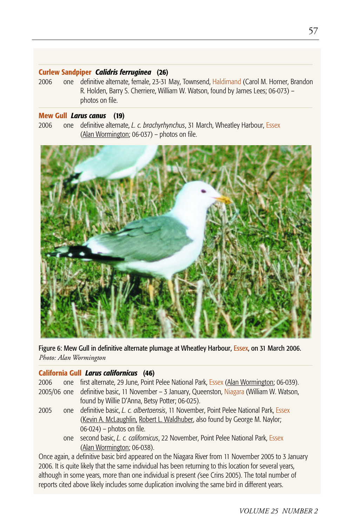#### **Curlew Sandpiper** *Calidris ferruginea* **(26)**

2006 one definitive alternate, female, 23-31 May, Townsend, Haldimand (Carol M. Horner, Brandon R. Holden, Barry S. Cherriere, William W. Watson, found by James Lees; 06-073) – photos on file.

#### **Mew Gull** *Larus canus* **(19)**

2006 one definitive alternate, *L. c. brachyrhynchus*, 31 March, Wheatley Harbour, Essex (Alan Wormington; 06-037) – photos on file.



Figure 6: Mew Gull in definitive alternate plumage at Wheatley Harbour, Essex, on 31 March 2006. *Photo: Alan Wormington*

#### **California Gull** *Larus californicus* **(46)**

| 2006 |     | one first alternate, 29 June, Point Pelee National Park, Essex (Alan Wormington; 06-039).               |
|------|-----|---------------------------------------------------------------------------------------------------------|
|      |     | 2005/06 one definitive basic, 11 November - 3 January, Queenston, Niagara (William W. Watson,           |
|      |     | found by Willie D'Anna, Betsy Potter; 06-025).                                                          |
| 2005 | one | definitive basic, L. c. albertaensis, 11 November, Point Pelee National Park, Essex                     |
|      |     | (Kevin A. McLaughlin, Robert L. Waldhuber, also found by George M. Naylor;                              |
|      |     | $06-024$ ) – photos on file.                                                                            |
|      | one | second basic, L. c. californicus, 22 November, Point Pelee National Park, Essex                         |
|      |     | (Alan Wormington; 06-038).                                                                              |
|      |     | Once again, a definitive basic bird appeared on the Niagara River from 11 November 2005 to 3 January    |
|      |     | 2006. It is quite likely that the same individual has been returning to this location for several years |

. It is quite likely that the same individual has been returning to this location for several years, although in some years, more than one individual is present *(*see Crins 2005). The total number of reports cited above likely includes some duplication involving the same bird in different years.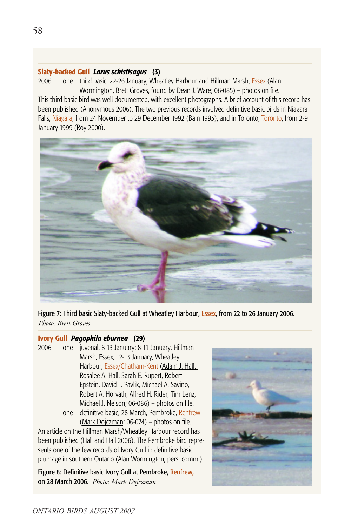#### **Slaty-backed Gull** *Larus schistisagus* **(3)**

2006 one third basic, 22-26 January, Wheatley Harbour and Hillman Marsh, Essex (Alan Wormington, Brett Groves, found by Dean J. Ware; 06-085) – photos on file.

This third basic bird was well documented, with excellent photographs. A brief account of this record has been published (Anonymous 2006). The two previous records involved definitive basic birds in Niagara Falls, Niagara, from 24 November to 29 December 1992 (Bain 1993), and in Toronto, Toronto, from 2-9 January 1999 (Roy 2000).



Figure 7: Third basic Slaty-backed Gull at Wheatley Harbour, Essex, from 22 to 26 January 2006. *Photo: Brett Groves*

#### **Ivory Gull** *Pagophila eburnea* **(29)**

2006 one juvenal, 8-13 January; 8-11 January, Hillman Marsh, Essex; 12-13 January, Wheatley Harbour, Essex/Chatham-Kent (Adam J. Hall, Rosalee A. Hall, Sarah E. Rupert, Robert Epstein, David T. Pavlik, Michael A. Savino, Robert A. Horvath, Alfred H. Rider, Tim Lenz, Michael J. Nelson; 06-086) – photos on file. one definitive basic, 28 March, Pembroke, Renfrew (Mark Dojczman; 06-074) – photos on file.

An article on the Hillman Marsh/Wheatley Harbour record has been published (Hall and Hall 2006). The Pembroke bird represents one of the few records of Ivory Gull in definitive basic plumage in southern Ontario (Alan Wormington, pers. comm.).

Figure 8: Definitive basic Ivory Gull at Pembroke, Renfrew, on 28 March 2006. *Photo: Mark Dojczman*

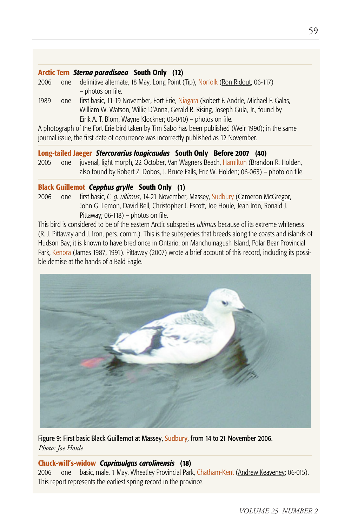#### **Arctic Tern** *Sterna paradisaea* **South Only (12)**

- 2006 one definitive alternate, 18 May, Long Point (Tip), Norfolk (Ron Ridout; 06-117) – photos on file.
- 1989 one first basic, 11-19 November, Fort Erie, Niagara (Robert F. Andrle, Michael F. Galas, William W. Watson, Willie D'Anna, Gerald R. Rising, Joseph Gula, Jr., found by Eirik A. T. Blom, Wayne Klockner; 06-040) – photos on file.

A photograph of the Fort Erie bird taken by Tim Sabo has been published (Weir 1990); in the same journal issue, the first date of occurrence was incorrectly published as 12 November.

#### **Long-tailed Jaeger** *Stercorarius longicaudus* **South Only Before 2007 (40)**

2005 one juvenal, light morph, 22 October, Van Wagners Beach, Hamilton (Brandon R. Holden, also found by Robert Z. Dobos, J. Bruce Falls, Eric W. Holden; 06-063) – photo on file.

#### **Black Guillemot** *Cepphus grylle* **South Only (1)**

2006 one first basic, *C. g. ultimus*, 14-21 November, Massey, Sudbury (Cameron McGregor, John G. Lemon, David Bell, Christopher J. Escott, Joe Houle, Jean Iron, Ronald J. Pittaway; 06-118) – photos on file.

This bird is considered to be of the eastern Arctic subspecies *ultimus* because of its extreme whiteness (R. J. Pittaway and J. Iron, pers. comm.). This is the subspecies that breeds along the coasts and islands of Hudson Bay; it is known to have bred once in Ontario, on Manchuinagush Island, Polar Bear Provincial Park, Kenora (James 1987, 1991). Pittaway (2007) wrote a brief account of this record, including its possible demise at the hands of a Bald Eagle.



Figure 9: First basic Black Guillemot at Massey, Sudbury, from 14 to 21 November 2006. *Photo: Joe Houle*

#### **Chuck-will's-widow** *Caprimulgus carolinensis* **(18)**

2006 one basic, male, 1 May, Wheatley Provincial Park, Chatham-Kent (Andrew Keaveney; 06-015). This report represents the earliest spring record in the province.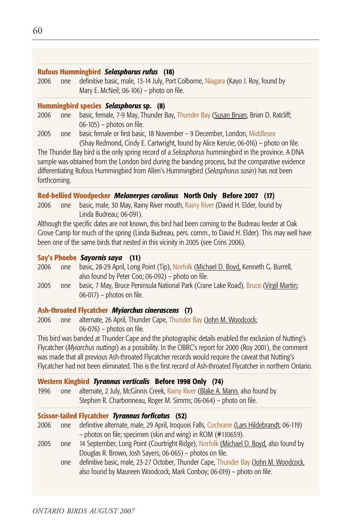#### **Rufous Hummingbird** *Selasphorus rufus* **(18)**

2006 one definitive basic, male, 13-14 July, Port Colborne, Niagara (Kayo J. Roy, found by Mary E. McNeil; 06-106) – photo on file.

#### **Hummingbird species** *Selasphorus* **sp. (8)**

- 2006 one basic, female, 7-9 May, Thunder Bay, Thunder Bay (Susan Bryan, Brian D. Ratcliff; 06-105) – photos on file.
- 2005 one basic female or first basic, 18 November 9 December, London, Middlesex (Shay Redmond, Cindy E. Cartwright, found by Alice Kenzie; 06-016) – photo on file.

The Thunder Bay bird is the only spring record of a *Selasphorus* hummingbird in the province. A DNA sample was obtained from the London bird during the banding process, but the comparative evidence differentiating Rufous Hummingbird from Allen's Hummingbird (*Selasphorus sasin*) has not been forthcoming.

#### **Red-bellied Woodpecker** *Melanerpes carolinus* **North Only Before 2007 (17)**

2006 one basic, male, 30 May, Rainy River mouth, Rainy River (David H. Elder, found by Linda Budreau; 06-091).

Although the specific dates are not known, this bird had been coming to the Budreau feeder at Oak Grove Camp for much of the spring (Linda Budreau, pers. comm., to David H. Elder). This may well have been one of the same birds that nested in this vicinity in 2005 (see Crins 2006).

#### **Say's Phoebe** *Sayornis saya* **(11)**

| 2006 | one. | basic, 28-29 April, Long Point (Tip), Norfolk (Michael D. Boyd, Kenneth G. Burrell,  |
|------|------|--------------------------------------------------------------------------------------|
|      |      | also found by Peter Coo; 06-092) – photo on file.                                    |
| 2005 | one  | basic, 7 May, Bruce Peninsula National Park (Crane Lake Road), Bruce (Virgil Martin; |
|      |      | $06-017$ ) – photos on file.                                                         |

#### **Ash-throated Flycatcher** *Myiarchus cinerascens* **(7)**

2006 one alternate, 26 April, Thunder Cape, Thunder Bay (John M. Woodcock; 06-076) – photos on file.

This bird was banded at Thunder Cape and the photographic details enabled the exclusion of Nutting's Flycatcher (*Myiarchus nuttingi*) as a possibility. In the OBRC's report for 2000 (Roy 2001), the comment was made that all previous Ash-throated Flycatcher records would require the caveat that Nutting's Flycatcher had not been eliminated. This is the first record of Ash-throated Flycatcher in northern Ontario.

#### **Western Kingbird** *Tyrannus verticalis* **Before 1998 Only (74)**

1996 one alternate, 2 July, McGinnis Creek, Rainy River (Blake A. Mann, also found by Stephen R. Charbonneau, Roger M. Simms; 06-064) – photo on file.

#### **Scissor-tailed Flycatcher** *Tyrannus forficatus* **(52)**

- 2006 one definitive alternate, male, 29 April, Iroquois Falls, Cochrane (Lars Hildebrandt; 06-119) – photos on file; specimen (skin and wing) in ROM (#110659).
- 2005 one 14 September, Long Point (Courtright Ridge), Norfolk (Michael D. Boyd, also found by Douglas R. Brown, Josh Sayers; 06-065) – photos on file.
	- one definitive basic, male, 23-27 October, Thunder Cape, Thunder Bay (John M. Woodcock, also found by Maureen Woodcock, Mark Conboy; 06-019) – photo on file.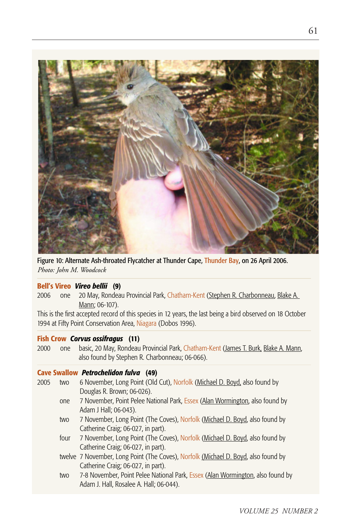

Figure 10: Alternate Ash-throated Flycatcher at Thunder Cape, Thunder Bay, on 26 April 2006. *Photo: John M. Woodcock*

#### **Bell's Vireo** *Vireo bellii* **(9)**

2006 one 20 May, Rondeau Provincial Park, Chatham-Kent (Stephen R. Charbonneau, Blake A. Mann; 06-107).

This is the first accepted record of this species in 12 years, the last being a bird observed on 18 October 1994 at Fifty Point Conservation Area, Niagara (Dobos 1996).

#### **Fish Crow** *Corvus ossifragus* **(11)**

2000 one basic, 20 May, Rondeau Provincial Park, Chatham-Kent (James T. Burk, Blake A. Mann, also found by Stephen R. Charbonneau; 06-066).

#### **Cave Swallow** *Petrochelidon fulva* **(49)**

- 2005 two 6 November, Long Point (Old Cut), Norfolk (Michael D. Boyd, also found by Douglas R. Brown; 06-026).
	- one 7 November, Point Pelee National Park, Essex (Alan Wormington, also found by Adam J Hall; 06-043).
	- two 7 November, Long Point (The Coves), Norfolk (Michael D. Boyd, also found by Catherine Craig; 06-027, in part).
	- four 7 November, Long Point (The Coves), Norfolk (Michael D. Boyd, also found by Catherine Craig; 06-027, in part).
	- twelve 7 November, Long Point (The Coves), Norfolk (Michael D. Boyd, also found by Catherine Craig; 06-027, in part).
	- two 7-8 November, Point Pelee National Park, Essex (Alan Wormington, also found by Adam J. Hall, Rosalee A. Hall; 06-044).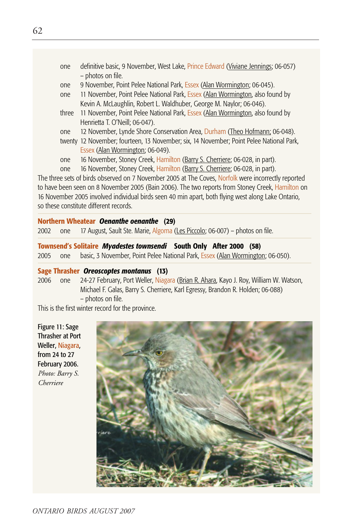- one definitive basic, 9 November, West Lake, Prince Edward (Viviane Jennings; 06-057) – photos on file.
- one 9 November, Point Pelee National Park, Essex (Alan Wormington; 06-045).
- one 11 November, Point Pelee National Park, Essex (Alan Wormington, also found by Kevin A. McLaughlin, Robert L. Waldhuber, George M. Naylor; 06-046).
- three 11 November, Point Pelee National Park, Essex (Alan Wormington, also found by Henrietta T. O'Neill; 06-047).
- one 12 November, Lynde Shore Conservation Area, Durham (Theo Hofmann; 06-048).
- twenty 12 November; fourteen, 13 November; six, 14 November; Point Pelee National Park, Essex (Alan Wormington; 06-049).
- one 16 November, Stoney Creek, Hamilton (Barry S. Cherriere; 06-028, in part).
- one 16 November, Stoney Creek, Hamilton (Barry S. Cherriere; 06-028, in part).

The three sets of birds observed on 7 November 2005 at The Coves, Norfolk were incorrectly reported to have been seen on 8 November 2005 (Bain 2006). The two reports from Stoney Creek, Hamilton on 16 November 2005 involved individual birds seen 40 min apart, both flying west along Lake Ontario, so these constitute different records.

#### **Northern Wheatear** *Oenanthe oenanthe* **(29)**

2002 one 17 August, Sault Ste. Marie, Algoma (Les Piccolo; 06-007) – photos on file.

#### **Townsend's Solitaire** *Myadestes townsendi* **South Only After 2000 (58)** 2005 one basic, 3 November, Point Pelee National Park, **Essex (Alan Wormington**; 06-050).

# **Sage Thrasher** *Oreoscoptes montanus* **(13)**

2006 one 24-27 February, Port Weller, Niagara (Brian R. Ahara, Kayo J. Roy, William W. Watson, Michael F. Galas, Barry S. Cherriere, Karl Egressy, Brandon R. Holden; 06-088) – photos on file.

This is the first winter record for the province.

Figure 11: Sage Thrasher at Port Weller, Niagara, from 24 to 27 February 2006. *Photo: Barry S. Cherriere*

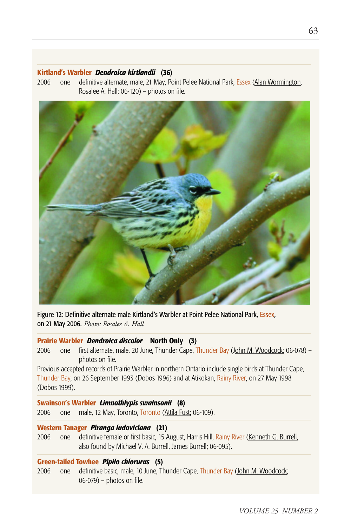#### **Kirtland's Warbler** *Dendroica kirtlandii* **(36)**

2006 one definitive alternate, male, 21 May, Point Pelee National Park, Essex (Alan Wormington, Rosalee A. Hall; 06-120) – photos on file.



Figure 12: Definitive alternate male Kirtland's Warbler at Point Pelee National Park, Essex, on 21 May 2006. *Photo: Rosalee A. Hall*

#### **Prairie Warbler** *Dendroica discolor* **North Only (3)**

2006 one first alternate, male, 20 June, Thunder Cape, Thunder Bay (John M. Woodcock; 06-078) – photos on file.

Previous accepted records of Prairie Warbler in northern Ontario include single birds at Thunder Cape, Thunder Bay, on 26 September 1993 (Dobos 1996) and at Atikokan, Rainy River, on 27 May 1998 (Dobos 1999).

#### **Swainson's Warbler** *Limnothlypis swainsonii* **(8)**

2006 one male, 12 May, Toronto, Toronto (Attila Fust; 06-109).

#### **Western Tanager** *Piranga ludoviciana* **(21)**

2006 one definitive female or first basic, 15 August, Harris Hill, Rainy River (Kenneth G. Burrell, also found by Michael V. A. Burrell, James Burrell; 06-095).

#### **Green-tailed Towhee** *Pipilo chlorurus* **(5)**

2006 one definitive basic, male, 10 June, Thunder Cape, Thunder Bay (John M. Woodcock; 06-079) – photos on file.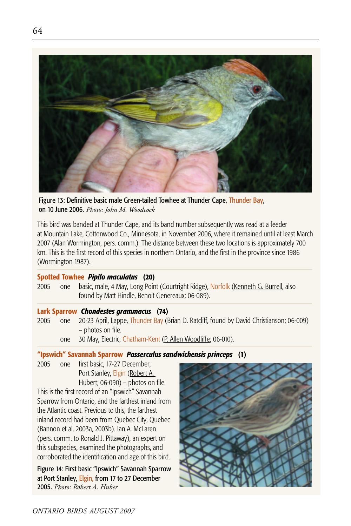

Figure 13: Definitive basic male Green-tailed Towhee at Thunder Cape, Thunder Bay, on 10 June 2006. *Photo: John M. Woodcock*

This bird was banded at Thunder Cape, and its band number subsequently was read at a feeder at Mountain Lake, Cottonwood Co., Minnesota, in November 2006, where it remained until at least March 2007 (Alan Wormington, pers. comm.). The distance between these two locations is approximately 700 km. This is the first record of this species in northern Ontario, and the first in the province since 1986 (Wormington 1987).

#### **Spotted Towhee** *Pipilo maculatus* **(20)**

2005 one basic, male, 4 May, Long Point (Courtright Ridge), Norfolk (Kenneth G. Burrell, also found by Matt Hindle, Benoit Genereaux; 06-089).

#### **Lark Sparrow** *Chondestes grammacus* **(74)**

2005 one 20-23 April, Lappe, Thunder Bay (Brian D. Ratcliff, found by David Christianson; 06-009) – photos on file.

one 30 May, Electric, Chatham-Kent (P. Allen Woodliffe; 06-010).

#### **"Ipswich" Savannah Sparrow** *Passerculus sandwichensis princeps* **(1)**

2005 one first basic, 17-27 December, Port Stanley, Elgin (Robert A. Hubert; 06-090) – photos on file.

This is the first record of an "Ipswich" Savannah Sparrow from Ontario, and the farthest inland from the Atlantic coast. Previous to this, the farthest inland record had been from Quebec City, Quebec (Bannon et al. 2003a, 2003b). Ian A. McLaren (pers. comm. to Ronald J. Pittaway), an expert on this subspecies, examined the photographs, and corroborated the identification and age of this bird.

Figure 14: First basic "Ipswich" Savannah Sparrow at Port Stanley, Elgin, from 17 to 27 December 2005. *Photo: Robert A. Huber*

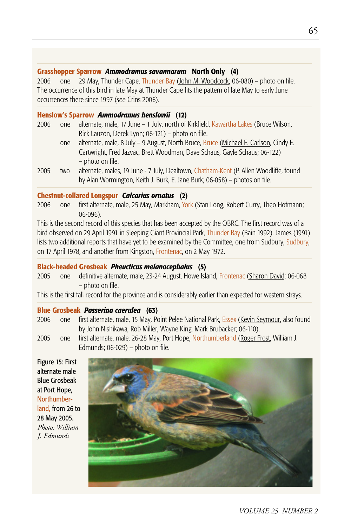#### **Grasshopper Sparrow** *Ammodramus savannarum* **North Only (4)**

2006 one 29 May, Thunder Cape, Thunder Bay (John M. Woodcock; 06-080) – photo on file. The occurrence of this bird in late May at Thunder Cape fits the pattern of late May to early June occurrences there since 1997 (*see* Crins 2006).

#### **Henslow's Sparrow** *Ammodramus henslowii* **(12)**

- 2006 one alternate, male, 17 June 1 July, north of Kirkfield, Kawartha Lakes (Bruce Wilson, Rick Lauzon, Derek Lyon; 06-121) – photo on file.
	- one alternate, male, 8 July 9 August, North Bruce, Bruce (Michael E. Carlson, Cindy E. Cartwright, Fred Jazvac, Brett Woodman, Dave Schaus, Gayle Schaus; 06-122) – photo on file.
- 2005 two alternate, males, 19 June 7 July, Dealtown, Chatham-Kent (P. Allen Woodliffe, found by Alan Wormington, Keith J. Burk, E. Jane Burk; 06-058) – photos on file.

#### **Chestnut-collared Longspur** *Calcarius ornatus* **(2)**

2006 one first alternate, male, 25 May, Markham, York (Stan Long, Robert Curry, Theo Hofmann; 06-096).

This is the second record of this species that has been accepted by the OBRC. The first record was of a bird observed on 29 April 1991 in Sleeping Giant Provincial Park, Thunder Bay (Bain 1992). James (1991) lists two additional reports that have yet to be examined by the Committee, one from Sudbury, Sudbury, on 17 April 1978, and another from Kingston, Frontenac, on 2 May 1972.

#### **Black-headed Grosbeak** *Pheucticus melanocephalus* **(5)**

2005 one definitive alternate, male, 23-24 August, Howe Island, Frontenac (Sharon David; 06-068 – photo on file.

This is the first fall record for the province and is considerably earlier than expected for western strays.

#### **Blue Grosbeak** *Passerina caerulea* **(63)**

- 2006 one first alternate, male, 15 May, Point Pelee National Park, Essex (Kevin Seymour, also found by John Nishikawa, Rob Miller, Wayne King, Mark Brubacker; 06-110).
- 2005 one first alternate, male, 26-28 May, Port Hope, Northumberland (Roger Frost, William J. Edmunds; 06-029) – photo on file.

Figure 15: First alternate male Blue Grosbeak at Port Hope, Northumberland, from 26 to 28 May 2005. *Photo: William J. Edmunds*



*VOLUME 25 NUMBER 2*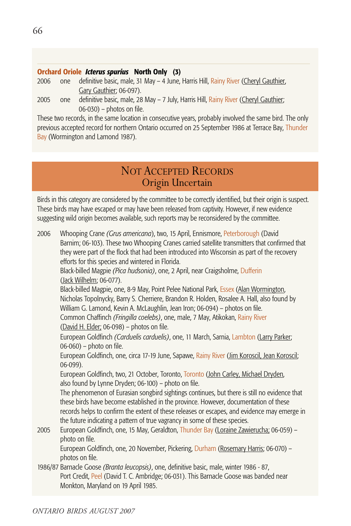#### **Orchard Oriole** *Icterus spurius* **North Only (3)**

- 2006 one definitive basic, male, 31 May 4 June, Harris Hill, Rainy River (Cheryl Gauthier, Gary Gauthier; 06-097).
- 2005 one definitive basic, male, 28 May 7 July, Harris Hill, Rainy River (Cheryl Gauthier; 06-030) – photos on file.

These two records, in the same location in consecutive years, probably involved the same bird. The only previous accepted record for northern Ontario occurred on 25 September 1986 at Terrace Bay, Thunder Bay (Wormington and Lamond 1987).

# NOT ACCEPTED RECORDS Origin Uncertain

Birds in this category are considered by the committee to be correctly identified, but their origin is suspect. These birds may have escaped or may have been released from captivity. However, if new evidence suggesting wild origin becomes available, such reports may be reconsidered by the committee.

2006 Whooping Crane *(Grus americana*), two, 15 April, Ennismore, Peterborough (David Barnim; 06-103). These two Whooping Cranes carried satellite transmitters that confirmed that they were part of the flock that had been introduced into Wisconsin as part of the recovery efforts for this species and wintered in Florida. Black-billed Magpie *(Pica hudsonia)*, one, 2 April, near Craigsholme, Dufferin (Jack Wilhelm; 06-077). Black-billed Magpie, one, 8-9 May, Point Pelee National Park, Essex (Alan Wormington, Nicholas Topolnycky, Barry S. Cherriere, Brandon R. Holden, Rosalee A. Hall, also found by William G. Lamond, Kevin A. McLaughlin, Jean Iron; 06-094) – photos on file. Common Chaffinch *(Fringilla coelebs)*, one, male, 7 May, Atikokan, Rainy River (David H. Elder; 06-098) – photos on file. European Goldfinch *(Carduelis carduelis)*, one, 11 March, Sarnia, Lambton (Larry Parker; 06-060) – photo on file. European Goldfinch, one, circa 17-19 June, Sapawe, Rainy River (Jim Koroscil, Jean Koroscil; 06-099). European Goldfinch, two, 21 October, Toronto, Toronto (John Carley, Michael Dryden, also found by Lynne Dryden; 06-100) – photo on file. The phenomenon of Eurasian songbird sightings continues, but there is still no evidence that these birds have become established in the province. However, documentation of these records helps to confirm the extent of these releases or escapes, and evidence may emerge in the future indicating a pattern of true vagrancy in some of these species. 2005 European Goldfinch, one, 15 May, Geraldton, Thunder Bay (Loraine Zawierucha; 06-059) – photo on file. European Goldfinch, one, 20 November, Pickering, Durham (Rosemary Harris; 06-070) – photos on file.

1986/87 Barnacle Goose *(Branta leucopsis)*, one, definitive basic, male, winter 1986 - 87, Port Credit, Peel (David T. C. Ambridge; 06-031). This Barnacle Goose was banded near Monkton, Maryland on 19 April 1985.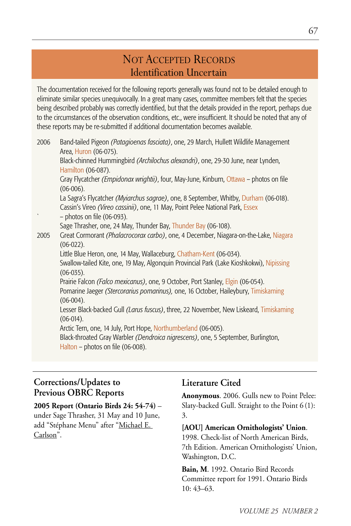# NOT ACCEPTED RECORDS Identification Uncertain

The documentation received for the following reports generally was found not to be detailed enough to eliminate similar species unequivocally. In a great many cases, committee members felt that the species being described probably was correctly identified, but that the details provided in the report, perhaps due to the circumstances of the observation conditions, etc., were insufficient. It should be noted that any of these reports may be re-submitted if additional documentation becomes available.

| 2006 | Band-tailed Pigeon (Patagioenas fasciata), one, 29 March, Hullett Wildlife Management<br>Area, Huron (06-075).                                                                 |
|------|--------------------------------------------------------------------------------------------------------------------------------------------------------------------------------|
|      | Black-chinned Hummingbird (Archilochus alexandri), one, 29-30 June, near Lynden,                                                                                               |
|      | Hamilton (06-087).                                                                                                                                                             |
|      | Gray Flycatcher (Empidonax wrightii), four, May-June, Kinburn, Ottawa - photos on file<br>$(06-006).$                                                                          |
|      | La Sagra's Flycatcher <i>(Myiarchus sagrae)</i> , one, 8 September, Whitby, Durham (06-018).<br>Cassin's Vireo (Vireo cassinii), one, 11 May, Point Pelee National Park, Essex |
|      | $-$ photos on file (06-093).                                                                                                                                                   |
|      | Sage Thrasher, one, 24 May, Thunder Bay, Thunder Bay (06-108).                                                                                                                 |
| 2005 | Great Cormorant (Phalacrocorax carbo), one, 4 December, Niagara-on-the-Lake, Niagara<br>$(06-022)$ .                                                                           |
|      | Little Blue Heron, one, 14 May, Wallaceburg, Chatham-Kent (06-034).                                                                                                            |
|      | Swallow-tailed Kite, one, 19 May, Algonquin Provincial Park (Lake Kioshkokwi), Nipissing<br>$(06-035).$                                                                        |
|      | Prairie Falcon <i>(Falco mexicanus)</i> , one, 9 October, Port Stanley, Elgin (06-054).                                                                                        |
|      | Pomarine Jaeger (Stercorarius pomarinus), one, 16 October, Haileybury, Timiskaming<br>$(06-004).$                                                                              |
|      | Lesser Black-backed Gull (Larus fuscus), three, 22 November, New Liskeard, Timiskaming<br>$(06-014).$                                                                          |
|      | Arctic Tern, one, 14 July, Port Hope, Northumberland (06-005).                                                                                                                 |
|      | Black-throated Gray Warbler (Dendroica nigrescens), one, 5 September, Burlington,<br>Halton – photos on file $(06-008)$ .                                                      |

## **Corrections/Updates to Previous OBRC Reports**

## **2005 Report (Ontario Birds 24: 54-74)** – under Sage Thrasher, 31 May and 10 June,

add "Stéphane Menu" after "Michael E. Carlson".

### **Literature Cited**

**Anonymous**. 2006. Gulls new to Point Pelee: Slaty-backed Gull. Straight to the Point 6 (1): 3.

**[AOU] American Ornithologists' Union**. 1998. Check-list of North American Birds,

7th Edition. American Ornithologists' Union, Washington, D.C.

**Bain, M**. 1992. Ontario Bird Records Committee report for 1991. Ontario Birds 10: 43–63.